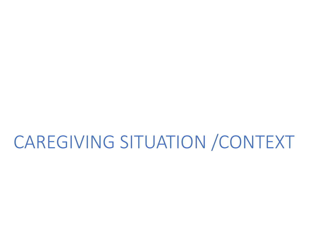# CAREGIVING SITUATION /CONTEXT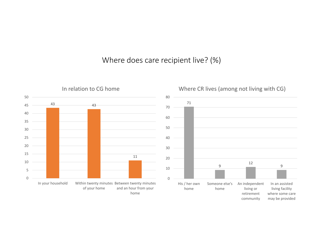#### Where does care recipient live? (%)

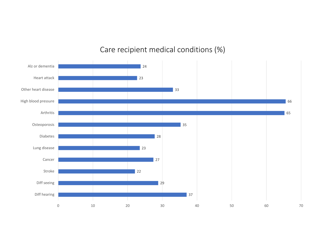### Care recipient medical conditions (%)

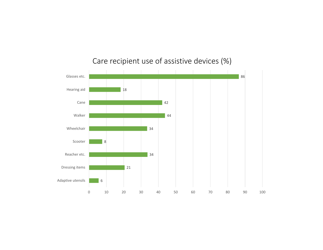

### Care recipient use of assistive devices (%)